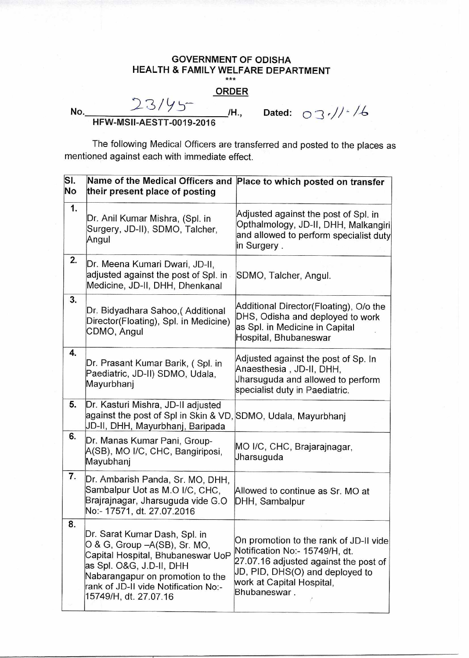## **GOVERNMENT OF ODISHA HEALTH & FAMILY WELFARE DEPARTMENT**   $\frac{1}{***}$

## **ORDER**

No.  $23/45$ <sup>-</sup> /H., Dated: 03.//<sup>-</sup>/6

**HFW-MSII-AESTT-0019-2016** 

The following Medical Officers are transferred and posted to the places as mentioned against each with immediate effect.

| SI.<br>No | their present place of posting                                                                                                                                                                                                        | Name of the Medical Officers and Place to which posted on transfer                                                                                                                                |
|-----------|---------------------------------------------------------------------------------------------------------------------------------------------------------------------------------------------------------------------------------------|---------------------------------------------------------------------------------------------------------------------------------------------------------------------------------------------------|
| 1.        | Dr. Anil Kumar Mishra, (Spl. in<br>Surgery, JD-II), SDMO, Talcher,<br>Angul                                                                                                                                                           | Adjusted against the post of Spl. in<br>Opthalmology, JD-II, DHH, Malkangiri<br>and allowed to perform specialist duty<br>in Surgery.                                                             |
| 2.        | Dr. Meena Kumari Dwari, JD-II,<br>adjusted against the post of Spl. in<br>Medicine, JD-II, DHH, Dhenkanal                                                                                                                             | SDMO, Talcher, Angul.                                                                                                                                                                             |
| 3.        | Dr. Bidyadhara Sahoo, (Additional<br>Director(Floating), Spl. in Medicine)<br>CDMO, Angul                                                                                                                                             | Additional Director(Floating), O/o the<br>DHS, Odisha and deployed to work<br>as Spl. in Medicine in Capital<br>Hospital, Bhubaneswar                                                             |
| 4.        | Dr. Prasant Kumar Barik, (Spl. in<br>Paediatric, JD-II) SDMO, Udala,<br>Mayurbhanj                                                                                                                                                    | Adjusted against the post of Sp. In<br>Anaesthesia , JD-II, DHH,<br>Jharsuguda and allowed to perform<br>specialist duty in Paediatric.                                                           |
| 5.        | Dr. Kasturi Mishra, JD-II adjusted<br>against the post of Spl in Skin & VD, SDMO, Udala, Mayurbhanj<br>JD-II, DHH, Mayurbhanj, Baripada                                                                                               |                                                                                                                                                                                                   |
| 6.        | Dr. Manas Kumar Pani, Group-<br>A(SB), MO I/C, CHC, Bangiriposi,<br>Mayubhanj                                                                                                                                                         | MO I/C, CHC, Brajarajnagar,<br>Jharsuguda                                                                                                                                                         |
| 7.        | Dr. Ambarish Panda, Sr. MO, DHH,<br>Sambalpur Uot as M.O I/C, CHC,<br>Brajrajnagar, Jharsuguda vide G.O<br>No:- 17571, dt. 27.07.2016                                                                                                 | Allowed to continue as Sr. MO at<br>DHH, Sambalpur                                                                                                                                                |
| 8.        | Dr. Sarat Kumar Dash, Spl. in<br>O & G, Group -- A(SB), Sr. MO,<br>Capital Hospital, Bhubaneswar UoP<br>as Spl. O&G, J.D-II, DHH<br>Nabarangapur on promotion to the<br>rank of JD-II vide Notification No:-<br>15749/H, dt. 27.07.16 | On promotion to the rank of JD-II vide<br>Notification No:- 15749/H, dt.<br>27.07.16 adjusted against the post of<br>JD, PID, DHS(O) and deployed to<br>work at Capital Hospital,<br>Bhubaneswar. |